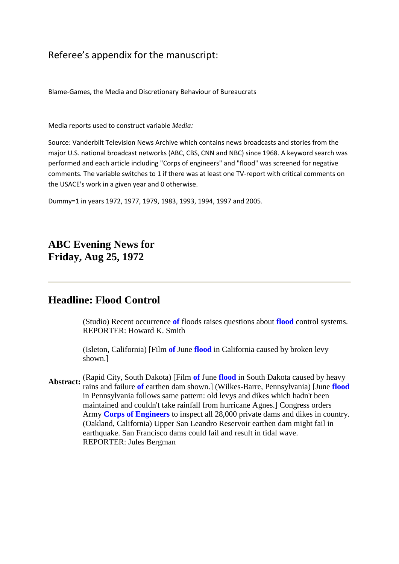Referee's appendix for the manuscript:

Blame-Games, the Media and Discretionary Behaviour of Bureaucrats

Media reports used to construct variable *Media:*

Source: Vanderbilt Television News Archive which contains news broadcasts and stories from the major U.S. national broadcast networks (ABC, CBS, CNN and NBC) since 1968. A keyword search was performed and each article including "Corps of engineers" and "flood" was screened for negative comments. The variable switches to 1 if there was at least one TV-report with critical comments on the USACE's work in a given year and 0 otherwise.

Dummy=1 in years 1972, 1977, 1979, 1983, 1993, 1994, 1997 and 2005.

**ABC Evening News for Friday, Aug 25, 1972**

# **Headline: Flood Control**

(Studio) Recent occurrence **of** floods raises questions about **flood** control systems. REPORTER: Howard K. Smith

(Isleton, California) [Film **of** June **flood** in California caused by broken levy shown.]

Abstract: (Rapid City, South Dakota) [Film of June flood in South Dakota caused by heavy<br>Abstract: mine and failure of earthen dam shown 1 (William Barra, Bannavlygnia) Uyne floor rains and failure **of** earthen dam shown.] (Wilkes-Barre, Pennsylvania) [June **flood** in Pennsylvania follows same pattern: old levys and dikes which hadn't been maintained and couldn't take rainfall from hurricane Agnes.] Congress orders Army **Corps of Engineers** to inspect all 28,000 private dams and dikes in country. (Oakland, California) Upper San Leandro Reservoir earthen dam might fail in earthquake. San Francisco dams could fail and result in tidal wave. REPORTER: Jules Bergman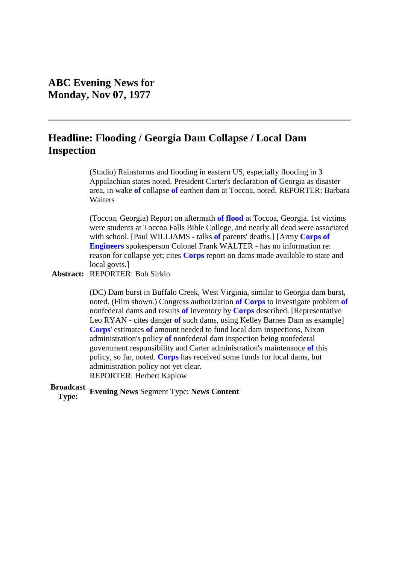# **Headline: Flooding / Georgia Dam Collapse / Local Dam Inspection**

(Studio) Rainstorms and flooding in eastern US, especially flooding in 3 Appalachian states noted. President Carter's declaration **of** Georgia as disaster area, in wake **of** collapse **of** earthen dam at Toccoa, noted. REPORTER: Barbara **Walters** 

(Toccoa, Georgia) Report on aftermath **of flood** at Toccoa, Georgia. 1st victims were students at Toccoa Falls Bible College, and nearly all dead were associated with school. [Paul WILLIAMS - talks **of** parents' deaths.] [Army **Corps of Engineers** spokesperson Colonel Frank WALTER - has no information re: reason for collapse yet; cites **Corps** report on dams made available to state and local govts.]

#### **Abstract:** REPORTER: Bob Sirkin

(DC) Dam burst in Buffalo Creek, West Virginia, similar to Georgia dam burst, noted. (Film shown.) Congress authorization **of Corps** to investigate problem **of** nonfederal dams and results **of** inventory by **Corps** described. [Representative Leo RYAN - cites danger **of** such dams, using Kelley Barnes Dam as example] **Corps**' estimates **of** amount needed to fund local dam inspections, Nixon administration's policy **of** nonfederal dam inspection being nonfederal government responsibility and Carter administration's maintenance **of** this policy, so far, noted. **Corps** has received some funds for local dams, but administration policy not yet clear. REPORTER: Herbert Kaplow

**Broadcast Type: Evening News** Segment Type: **News Content**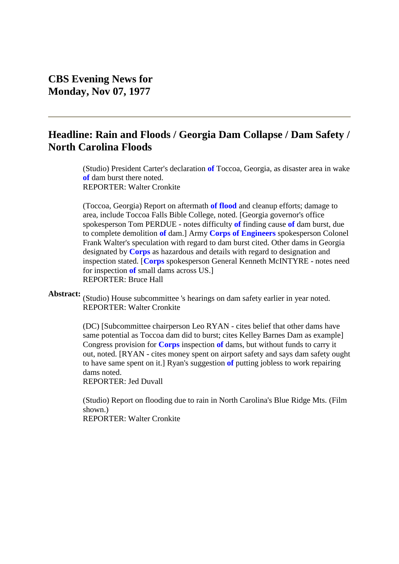# **Headline: Rain and Floods / Georgia Dam Collapse / Dam Safety / North Carolina Floods**

(Studio) President Carter's declaration **of** Toccoa, Georgia, as disaster area in wake **of** dam burst there noted. REPORTER: Walter Cronkite

(Toccoa, Georgia) Report on aftermath **of flood** and cleanup efforts; damage to area, include Toccoa Falls Bible College, noted. [Georgia governor's office spokesperson Tom PERDUE - notes difficulty **of** finding cause **of** dam burst, due to complete demolition **of** dam.] Army **Corps of Engineers** spokesperson Colonel Frank Walter's speculation with regard to dam burst cited. Other dams in Georgia designated by **Corps** as hazardous and details with regard to designation and inspection stated. [**Corps** spokesperson General Kenneth McINTYRE - notes need for inspection **of** small dams across US.] REPORTER: Bruce Hall

Abstract: (Studio) House subcommittee 's hearings on dam safety earlier in year noted. REPORTER: Walter Cronkite

> (DC) [Subcommittee chairperson Leo RYAN - cites belief that other dams have same potential as Toccoa dam did to burst; cites Kelley Barnes Dam as example] Congress provision for **Corps** inspection **of** dams, but without funds to carry it out, noted. [RYAN - cites money spent on airport safety and says dam safety ought to have same spent on it.] Ryan's suggestion **of** putting jobless to work repairing dams noted.

REPORTER: Jed Duvall

(Studio) Report on flooding due to rain in North Carolina's Blue Ridge Mts. (Film shown.) REPORTER: Walter Cronkite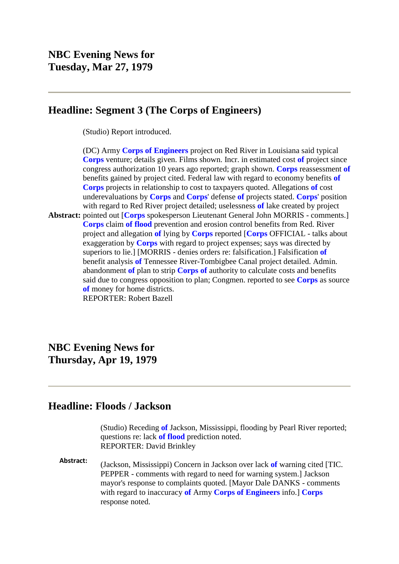## **Headline: Segment 3 (The Corps of Engineers)**

(Studio) Report introduced.

**Abstract:** pointed out [**Corps** spokesperson Lieutenant General John MORRIS - comments.] (DC) Army **Corps of Engineers** project on Red River in Louisiana said typical **Corps** venture; details given. Films shown. Incr. in estimated cost **of** project since congress authorization 10 years ago reported; graph shown. **Corps** reassessment **of** benefits gained by project cited. Federal law with regard to economy benefits **of Corps** projects in relationship to cost to taxpayers quoted. Allegations **of** cost underevaluations by **Corps** and **Corps**' defense **of** projects stated. **Corps**' position with regard to Red River project detailed; uselessness **of** lake created by project **Corps** claim **of flood** prevention and erosion control benefits from Red. River project and allegation **of** lying by **Corps** reported [**Corps** OFFICIAL - talks about exaggeration by **Corps** with regard to project expenses; says was directed by superiors to lie.] [MORRIS - denies orders re: falsification.] Falsification **of** benefit analysis **of** Tennessee River-Tombigbee Canal project detailed. Admin. abandonment **of** plan to strip **Corps of** authority to calculate costs and benefits said due to congress opposition to plan; Congmen. reported to see **Corps** as source **of** money for home districts. REPORTER: Robert Bazell

# **NBC Evening News for Thursday, Apr 19, 1979**

## **Headline: Floods / Jackson**

(Studio) Receding **of** Jackson, Mississippi, flooding by Pearl River reported; questions re: lack **of flood** prediction noted. REPORTER: David Brinkley

**Abstract:** (Jackson, Mississippi) Concern in Jackson over lack **of** warning cited [TIC. PEPPER - comments with regard to need for warning system.] Jackson mayor's response to complaints quoted. [Mayor Dale DANKS - comments with regard to inaccuracy **of** Army **Corps of Engineers** info.] **Corps** response noted.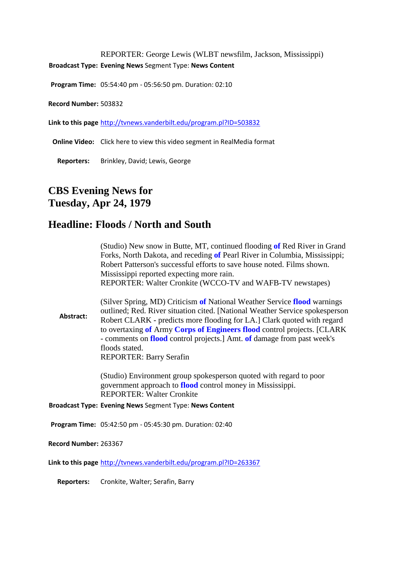REPORTER: George Lewis (WLBT newsfilm, Jackson, Mississippi) **Broadcast Type: Evening News** Segment Type: **News Content**

**Program Time:** 05:54:40 pm - 05:56:50 pm. Duration: 02:10

**Record Number:** 503832

**Link to this page** [http://tvnews.vanderbilt.edu/program.pl?ID=503832](http://proxy.library.upenn.edu:5235/program.pl?ID=503832)

**Online Video:** Click here to view this video segment in RealMedia format

**Reporters:** Brinkley, David; Lewis, George

# **CBS Evening News for Tuesday, Apr 24, 1979**

## **Headline: Floods / North and South**

| (Studio) New snow in Butte, MT, continued flooding of Red River in Grand   |
|----------------------------------------------------------------------------|
| Forks, North Dakota, and receding of Pearl River in Columbia, Mississippi; |
| Robert Patterson's successful efforts to save house noted. Films shown.    |
| Mississippi reported expecting more rain.                                  |
| REPORTER: Walter Cronkite (WCCO-TV and WAFB-TV newstapes)                  |

**Abstract:** (Silver Spring, MD) Criticism **of** National Weather Service **flood** warnings outlined; Red. River situation cited. [National Weather Service spokesperson Robert CLARK - predicts more flooding for LA.] Clark quoted with regard to overtaxing **of** Army **Corps of Engineers flood** control projects. [CLARK - comments on **flood** control projects.] Amt. **of** damage from past week's floods stated. REPORTER: Barry Serafin

> (Studio) Environment group spokesperson quoted with regard to poor government approach to **flood** control money in Mississippi. REPORTER: Walter Cronkite

**Broadcast Type: Evening News** Segment Type: **News Content**

**Program Time:** 05:42:50 pm - 05:45:30 pm. Duration: 02:40

**Record Number:** 263367

**Link to this page** [http://tvnews.vanderbilt.edu/program.pl?ID=263367](http://proxy.library.upenn.edu:5235/program.pl?ID=263367)

**Reporters:** Cronkite, Walter; Serafin, Barry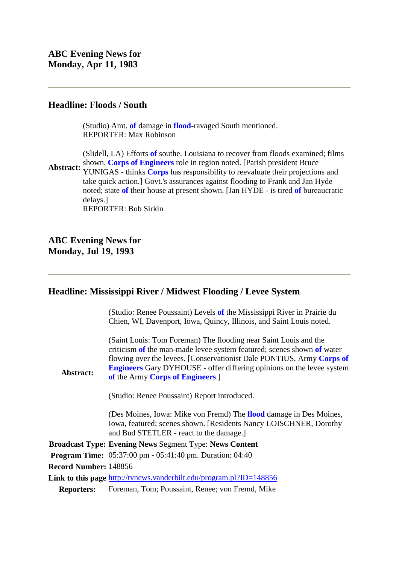### **Headline: Floods / South**

(Studio) Amt. **of** damage in **flood**-ravaged South mentioned. REPORTER: Max Robinson

Abstract: YUNIGAS - thinks **Corps** has responsibility to reevaluate their projections and (Slidell, LA) Efforts **of** southe. Louisiana to recover from floods examined; films shown. **Corps of Engineers** role in region noted. [Parish president Bruce take quick action.] Govt.'s assurances against flooding to Frank and Jan Hyde noted; state **of** their house at present shown. [Jan HYDE - is tired **of** bureaucratic delays.] REPORTER: Bob Sirkin

**ABC Evening News for Monday, Jul 19, 1993**

### **Headline: Mississippi River / Midwest Flooding / Levee System**

(Studio: Renee Poussaint) Levels **of** the Mississippi River in Prairie du Chien, WI, Davenport, Iowa, Quincy, Illinois, and Saint Louis noted.

(Saint Louis: Tom Foreman) The flooding near Saint Louis and the criticism **of** the man-made levee system featured; scenes shown **of** water flowing over the levees. [Conservationist Dale PONTIUS, Army **Corps of Engineers** Gary DYHOUSE - offer differing opinions on the levee system **of** the Army **Corps of Engineers**.]

(Studio: Renee Poussaint) Report introduced.

(Des Moines, Iowa: Mike von Fremd) The **flood** damage in Des Moines, Iowa, featured; scenes shown. [Residents Nancy LOISCHNER, Dorothy and Bud STETLER - react to the damage.]

**Broadcast Type: Evening News** Segment Type: **News Content**

**Program Time:** 05:37:00 pm - 05:41:40 pm. Duration: 04:40

**Record Number:** 148856

**Abstract:**

**Link to this page** [http://tvnews.vanderbilt.edu/program.pl?ID=148856](http://proxy.library.upenn.edu:5235/program.pl?ID=148856)

**Reporters:** Foreman, Tom; Poussaint, Renee; von Fremd, Mike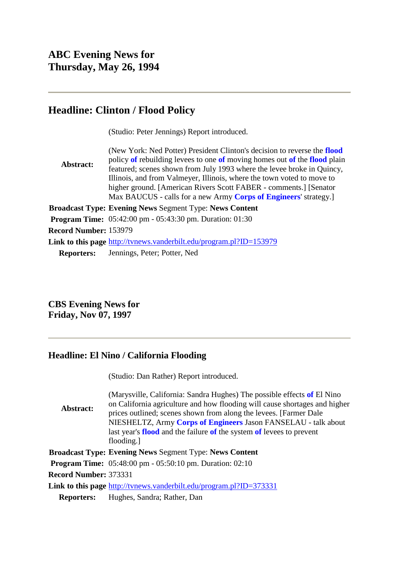# **Headline: Clinton / Flood Policy**

(Studio: Peter Jennings) Report introduced.

**Abstract:** (New York: Ned Potter) President Clinton's decision to reverse the **flood** policy **of** rebuilding levees to one **of** moving homes out **of** the **flood** plain featured; scenes shown from July 1993 where the levee broke in Quincy, Illinois, and from Valmeyer, Illinois, where the town voted to move to higher ground. [American Rivers Scott FABER - comments.] [Senator Max BAUCUS - calls for a new Army **Corps of Engineers**' strategy.] **Broadcast Type: Evening News** Segment Type: **News Content Program Time:** 05:42:00 pm - 05:43:30 pm. Duration: 01:30 **Record Number:** 153979 **Link to this page** [http://tvnews.vanderbilt.edu/program.pl?ID=153979](http://proxy.library.upenn.edu:5235/program.pl?ID=153979) **Reporters:** Jennings, Peter; Potter, Ned

**CBS Evening News for Friday, Nov 07, 1997**

## **Headline: El Nino / California Flooding**

|                              | (Studio: Dan Rather) Report introduced.                                                                                                                                                                                                                                                                                                                                                   |
|------------------------------|-------------------------------------------------------------------------------------------------------------------------------------------------------------------------------------------------------------------------------------------------------------------------------------------------------------------------------------------------------------------------------------------|
| Abstract:                    | (Marysville, California: Sandra Hughes) The possible effects of El Nino<br>on California agriculture and how flooding will cause shortages and higher<br>prices outlined; scenes shown from along the levees. [Farmer Dale<br>NIESHELTZ, Army Corps of Engineers Jason FANSELAU - talk about<br>last year's <b>flood</b> and the failure of the system of levees to prevent<br>flooding.] |
|                              | <b>Broadcast Type: Evening News Segment Type: News Content</b>                                                                                                                                                                                                                                                                                                                            |
|                              | <b>Program Time:</b> $05:48:00 \text{ pm} - 05:50:10 \text{ pm}$ . Duration: $02:10$                                                                                                                                                                                                                                                                                                      |
| <b>Record Number: 373331</b> |                                                                                                                                                                                                                                                                                                                                                                                           |
|                              | Link to this page http://tvnews.vanderbilt.edu/program.pl?ID=373331                                                                                                                                                                                                                                                                                                                       |
| <b>Reporters:</b>            | Hughes, Sandra; Rather, Dan                                                                                                                                                                                                                                                                                                                                                               |
|                              |                                                                                                                                                                                                                                                                                                                                                                                           |